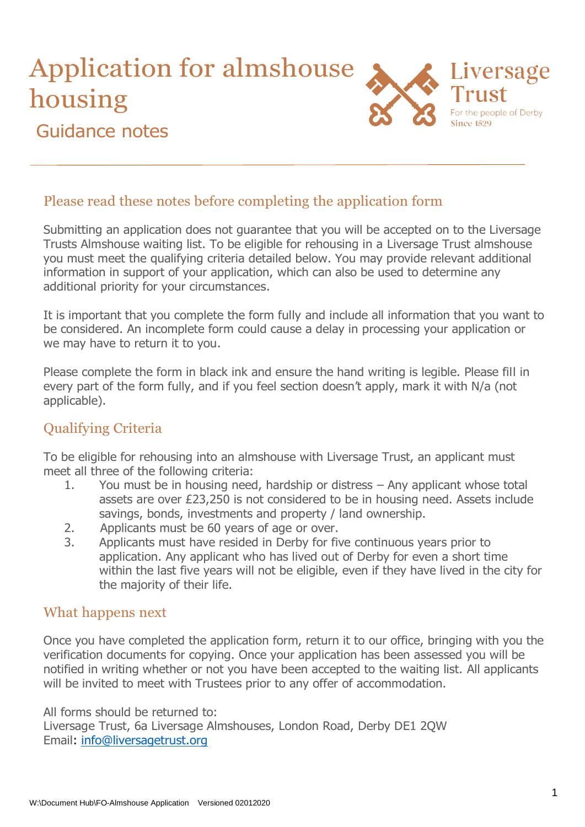# Application for almshouse housing Guidance notes



### Please read these notes before completing the application form

Submitting an application does not guarantee that you will be accepted on to the Liversage Trusts Almshouse waiting list. To be eligible for rehousing in a Liversage Trust almshouse you must meet the qualifying criteria detailed below. You may provide relevant additional information in support of your application, which can also be used to determine any additional priority for your circumstances.

It is important that you complete the form fully and include all information that you want to be considered. An incomplete form could cause a delay in processing your application or we may have to return it to you.

Please complete the form in black ink and ensure the hand writing is legible. Please fill in every part of the form fully, and if you feel section doesn't apply, mark it with N/a (not applicable).

## Qualifying Criteria

To be eligible for rehousing into an almshouse with Liversage Trust, an applicant must meet all three of the following criteria:

- 1. You must be in housing need, hardship or distress Any applicant whose total assets are over £23,250 is not considered to be in housing need. Assets include savings, bonds, investments and property / land ownership.
- 2. Applicants must be 60 years of age or over.
- 3. Applicants must have resided in Derby for five continuous years prior to application. Any applicant who has lived out of Derby for even a short time within the last five years will not be eligible, even if they have lived in the city for the majority of their life.

#### What happens next

Once you have completed the application form, return it to our office, bringing with you the verification documents for copying. Once your application has been assessed you will be notified in writing whether or not you have been accepted to the waiting list. All applicants will be invited to meet with Trustees prior to any offer of accommodation.

All forms should be returned to: Liversage Trust, 6a Liversage Almshouses, London Road, Derby DE1 2QW Email: [info@liversagetrust.org](mailto:info@liversagetrust.org)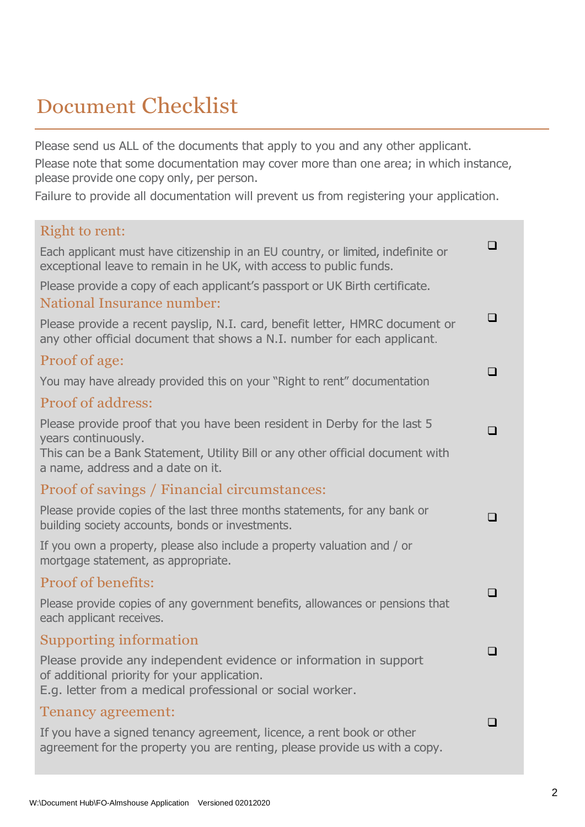# Document Checklist

Please send us ALL of the documents that apply to you and any other applicant. Please note that some documentation may cover more than one area; in which instance, please provide one copy only, per person.

Failure to provide all documentation will prevent us from registering your application.

| Right to rent:                                                                                                                                                                 |     |
|--------------------------------------------------------------------------------------------------------------------------------------------------------------------------------|-----|
| Each applicant must have citizenship in an EU country, or limited, indefinite or<br>exceptional leave to remain in he UK, with access to public funds.                         | l 1 |
| Please provide a copy of each applicant's passport or UK Birth certificate.                                                                                                    |     |
| <b>National Insurance number:</b>                                                                                                                                              |     |
| Please provide a recent payslip, N.I. card, benefit letter, HMRC document or<br>any other official document that shows a N.I. number for each applicant.                       | ❏   |
| Proof of age:                                                                                                                                                                  |     |
| You may have already provided this on your "Right to rent" documentation                                                                                                       | l 1 |
| <b>Proof of address:</b>                                                                                                                                                       |     |
| Please provide proof that you have been resident in Derby for the last 5<br>years continuously.                                                                                | ப   |
| This can be a Bank Statement, Utility Bill or any other official document with<br>a name, address and a date on it.                                                            |     |
| Proof of savings / Financial circumstances:                                                                                                                                    |     |
| Please provide copies of the last three months statements, for any bank or<br>building society accounts, bonds or investments.                                                 | П   |
| If you own a property, please also include a property valuation and / or<br>mortgage statement, as appropriate.                                                                |     |
| <b>Proof of benefits:</b>                                                                                                                                                      |     |
| Please provide copies of any government benefits, allowances or pensions that<br>each applicant receives.                                                                      | □   |
| Supporting information                                                                                                                                                         |     |
| Please provide any independent evidence or information in support<br>of additional priority for your application.<br>E.g. letter from a medical professional or social worker. | ப   |
| <b>Tenancy agreement:</b>                                                                                                                                                      |     |
| If you have a signed tenancy agreement, licence, a rent book or other<br>agreement for the property you are renting, please provide us with a copy.                            | l 1 |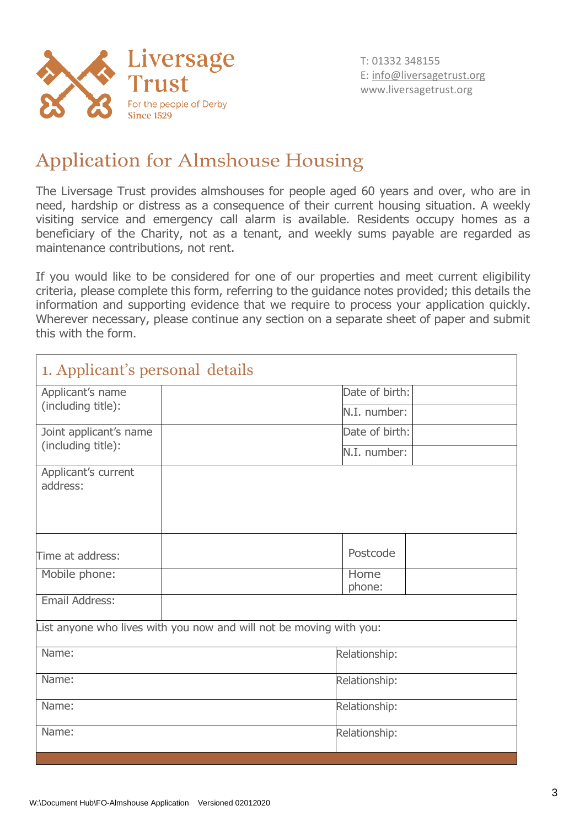

## Application for Almshouse Housing

The Liversage Trust provides almshouses for people aged 60 years and over, who are in need, hardship or distress as a consequence of their current housing situation. A weekly visiting service and emergency call alarm is available. Residents occupy homes as a beneficiary of the Charity, not as a tenant, and weekly sums payable are regarded as maintenance contributions, not rent.

If you would like to be considered for one of our properties and meet current eligibility criteria, please complete this form, referring to the guidance notes provided; this details the information and supporting evidence that we require to process your application quickly. Wherever necessary, please continue any section on a separate sheet of paper and submit this with the form.

| 1. Applicant's personal details |                                                                     |               |  |
|---------------------------------|---------------------------------------------------------------------|---------------|--|
| Applicant's name                | Date of birth:                                                      |               |  |
| (including title):              | N.I. number:                                                        |               |  |
| Joint applicant's name          | Date of birth:                                                      |               |  |
| (including title):              | N.I. number:                                                        |               |  |
| Applicant's current<br>address: |                                                                     |               |  |
| Time at address:                | Postcode                                                            |               |  |
| Mobile phone:                   | Home<br>phone:                                                      |               |  |
| Email Address:                  |                                                                     |               |  |
|                                 | List anyone who lives with you now and will not be moving with you: |               |  |
| Name:                           | Relationship:                                                       |               |  |
| Name:                           |                                                                     | Relationship: |  |
| Name:                           |                                                                     | Relationship: |  |
| Name:                           | Relationship:                                                       |               |  |
|                                 |                                                                     |               |  |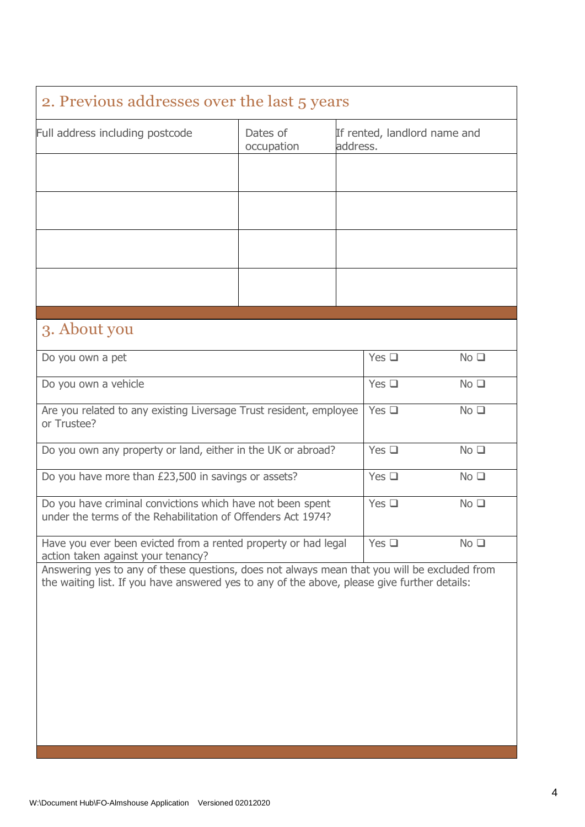| 2. Previous addresses over the last 5 years                                                                                                                                                  |                        |          |                              |                 |
|----------------------------------------------------------------------------------------------------------------------------------------------------------------------------------------------|------------------------|----------|------------------------------|-----------------|
| Full address including postcode                                                                                                                                                              | Dates of<br>occupation | address. | If rented, landlord name and |                 |
|                                                                                                                                                                                              |                        |          |                              |                 |
|                                                                                                                                                                                              |                        |          |                              |                 |
|                                                                                                                                                                                              |                        |          |                              |                 |
|                                                                                                                                                                                              |                        |          |                              |                 |
| 3. About you                                                                                                                                                                                 |                        |          |                              |                 |
| Do you own a pet                                                                                                                                                                             |                        |          | Yes $\square$                | No <sub>1</sub> |
| Do you own a vehicle                                                                                                                                                                         |                        |          | Yes $\square$                | No <sub>1</sub> |
| Are you related to any existing Liversage Trust resident, employee<br>or Trustee?                                                                                                            |                        |          | Yes $\Box$                   | No <sub>1</sub> |
| Do you own any property or land, either in the UK or abroad?                                                                                                                                 |                        |          | Yes $\Box$                   | No <sub>1</sub> |
| Do you have more than £23,500 in savings or assets?                                                                                                                                          |                        |          | Yes $\square$                | No <sub>1</sub> |
| Do you have criminal convictions which have not been spent<br>under the terms of the Rehabilitation of Offenders Act 1974?                                                                   |                        |          | $Yes \square$                | No <sub>1</sub> |
| Have you ever been evicted from a rented property or had legal<br>action taken against your tenancy?                                                                                         |                        |          | Yes $\square$                | No <sub>1</sub> |
| Answering yes to any of these questions, does not always mean that you will be excluded from<br>the waiting list. If you have answered yes to any of the above, please give further details: |                        |          |                              |                 |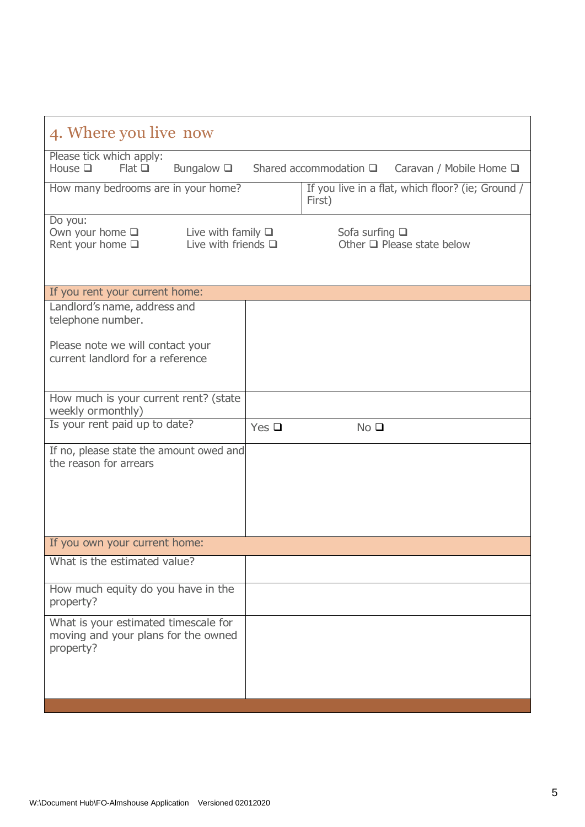| 4. Where you live now                                                                                                    |            |                                |                                                   |  |
|--------------------------------------------------------------------------------------------------------------------------|------------|--------------------------------|---------------------------------------------------|--|
| Please tick which apply:<br>Bungalow $\square$<br>House $\square$<br>Flat                                                |            | Shared accommodation $\square$ | Caravan / Mobile Home $\square$                   |  |
| How many bedrooms are in your home?                                                                                      |            | First)                         | If you live in a flat, which floor? (ie; Ground / |  |
| Do you:<br>Own your home $\square$<br>Live with family $\square$<br>Live with friends $\Box$<br>Rent your home $\square$ |            | Sofa surfing $\square$         | Other $\Box$ Please state below                   |  |
| If you rent your current home:                                                                                           |            |                                |                                                   |  |
| Landlord's name, address and<br>telephone number.                                                                        |            |                                |                                                   |  |
| Please note we will contact your<br>current landlord for a reference                                                     |            |                                |                                                   |  |
| How much is your current rent? (state<br>weekly ormonthly)                                                               |            |                                |                                                   |  |
| Is your rent paid up to date?                                                                                            | Yes $\Box$ | No <sub>Q</sub>                |                                                   |  |
| If no, please state the amount owed and<br>the reason for arrears                                                        |            |                                |                                                   |  |
| If you own your current home:                                                                                            |            |                                |                                                   |  |
| What is the estimated value?                                                                                             |            |                                |                                                   |  |
| How much equity do you have in the<br>property?                                                                          |            |                                |                                                   |  |
| What is your estimated timescale for<br>moving and your plans for the owned<br>property?                                 |            |                                |                                                   |  |
|                                                                                                                          |            |                                |                                                   |  |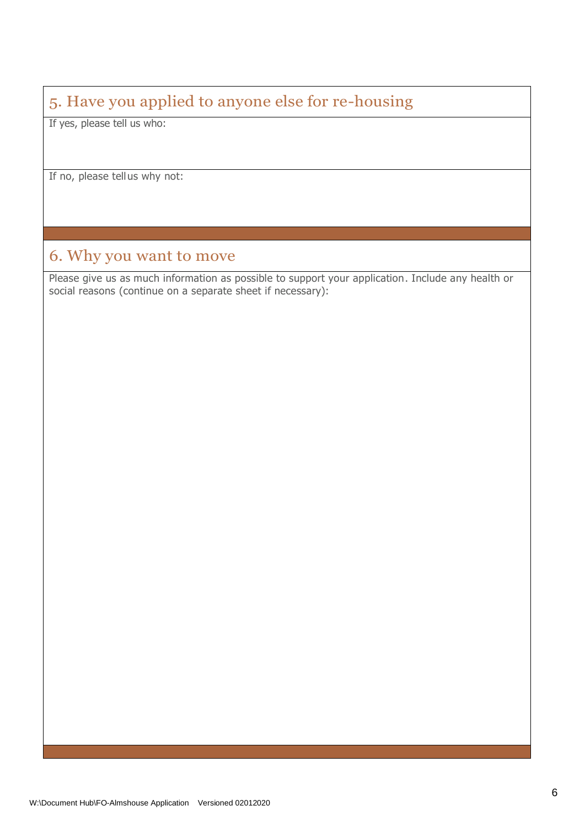## 5. Have you applied to anyone else for re-housing

If yes, please tell us who:

If no, please tellus why not:

## 6. Why you want to move

Please give us as much information as possible to support your application. Include any health or social reasons (continue on a separate sheet if necessary):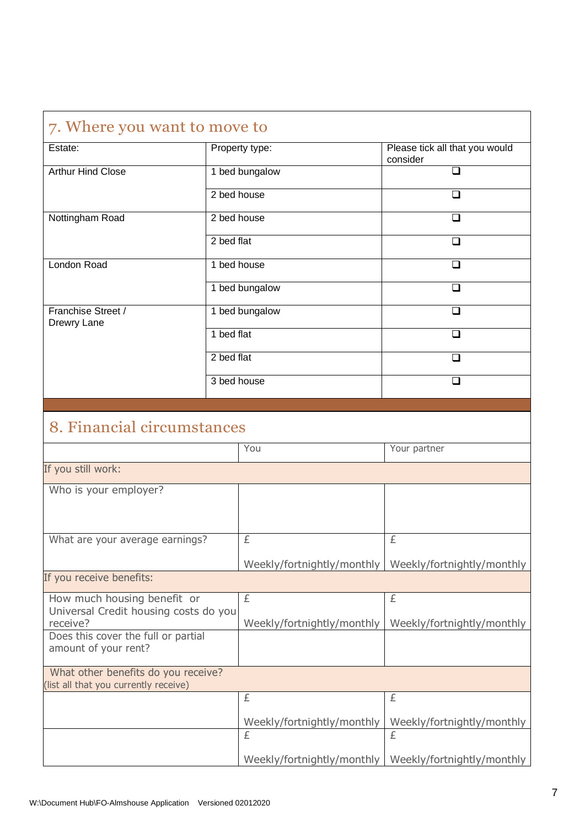| 7. Where you want to move to                                                     |                |                                 |                                            |
|----------------------------------------------------------------------------------|----------------|---------------------------------|--------------------------------------------|
| Estate:                                                                          | Property type: |                                 | Please tick all that you would<br>consider |
| <b>Arthur Hind Close</b>                                                         |                | 1 bed bungalow                  | □                                          |
|                                                                                  | 2 bed house    |                                 | □                                          |
| Nottingham Road                                                                  | 2 bed house    |                                 | ∩                                          |
|                                                                                  | 2 bed flat     |                                 | □                                          |
| London Road                                                                      | 1 bed house    |                                 | ◻                                          |
|                                                                                  |                | 1 bed bungalow                  | □                                          |
| Franchise Street /<br>Drewry Lane                                                |                | 1 bed bungalow                  | $\Box$                                     |
|                                                                                  | 1 bed flat     |                                 | ◻                                          |
|                                                                                  | 2 bed flat     |                                 | $\Box$                                     |
|                                                                                  | 3 bed house    |                                 | ◻                                          |
|                                                                                  |                |                                 |                                            |
| 8. Financial circumstances                                                       |                |                                 |                                            |
|                                                                                  |                | You                             | Your partner                               |
| If you still work:                                                               |                |                                 |                                            |
| Who is your employer?                                                            |                |                                 |                                            |
| What are your average earnings?                                                  |                | £                               | £                                          |
|                                                                                  |                | Weekly/fortnightly/monthly      | Weekly/fortnightly/monthly                 |
| If you receive benefits:                                                         |                |                                 |                                            |
| How much housing benefit or<br>Universal Credit housing costs do you<br>receive? |                | £<br>Weekly/fortnightly/monthly | £<br>Weekly/fortnightly/monthly            |
| Does this cover the full or partial<br>amount of your rent?                      |                |                                 |                                            |
| What other benefits do you receive?<br>(list all that you currently receive)     |                |                                 |                                            |
|                                                                                  |                | £                               | £                                          |
|                                                                                  |                | Weekly/fortnightly/monthly      | Weekly/fortnightly/monthly                 |
|                                                                                  |                | £                               | £                                          |
|                                                                                  |                | Weekly/fortnightly/monthly      | Weekly/fortnightly/monthly                 |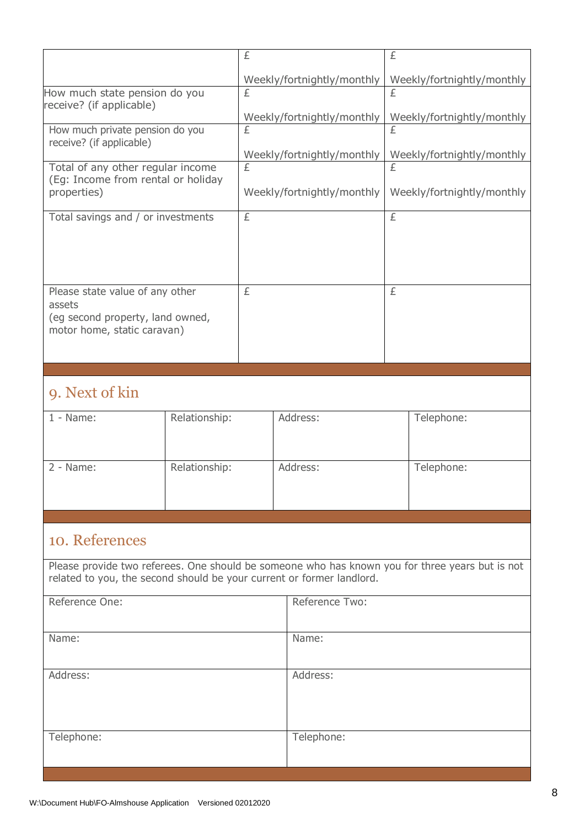|                                                                       |               | £                          |                            | £ |                                                                                                 |
|-----------------------------------------------------------------------|---------------|----------------------------|----------------------------|---|-------------------------------------------------------------------------------------------------|
|                                                                       |               |                            | Weekly/fortnightly/monthly |   | Weekly/fortnightly/monthly                                                                      |
| How much state pension do you                                         |               | £                          |                            | £ |                                                                                                 |
| receive? (if applicable)                                              |               |                            | Weekly/fortnightly/monthly |   | Weekly/fortnightly/monthly                                                                      |
| How much private pension do you                                       |               | £                          |                            | £ |                                                                                                 |
| receive? (if applicable)                                              |               |                            | Weekly/fortnightly/monthly |   | Weekly/fortnightly/monthly                                                                      |
| Total of any other regular income                                     |               | £                          |                            | £ |                                                                                                 |
| (Eg: Income from rental or holiday<br>properties)                     |               | Weekly/fortnightly/monthly |                            |   | Weekly/fortnightly/monthly                                                                      |
|                                                                       |               |                            |                            |   |                                                                                                 |
| Total savings and / or investments                                    |               | £                          |                            | £ |                                                                                                 |
|                                                                       |               |                            |                            |   |                                                                                                 |
|                                                                       |               |                            |                            |   |                                                                                                 |
|                                                                       |               |                            |                            |   |                                                                                                 |
| Please state value of any other<br>assets                             |               | £                          |                            | £ |                                                                                                 |
| (eg second property, land owned,                                      |               |                            |                            |   |                                                                                                 |
| motor home, static caravan)                                           |               |                            |                            |   |                                                                                                 |
|                                                                       |               |                            |                            |   |                                                                                                 |
|                                                                       |               |                            |                            |   |                                                                                                 |
| 9. Next of kin                                                        |               |                            |                            |   |                                                                                                 |
| $1 - Name$ :                                                          | Relationship: |                            | Address:                   |   | Telephone:                                                                                      |
|                                                                       |               |                            |                            |   |                                                                                                 |
|                                                                       |               |                            |                            |   |                                                                                                 |
|                                                                       |               |                            |                            |   |                                                                                                 |
| $2 - Name$ :                                                          | Relationship: |                            | Address:                   |   | Telephone:                                                                                      |
|                                                                       |               |                            |                            |   |                                                                                                 |
|                                                                       |               |                            |                            |   |                                                                                                 |
|                                                                       |               |                            |                            |   |                                                                                                 |
| 10. References                                                        |               |                            |                            |   |                                                                                                 |
| related to you, the second should be your current or former landlord. |               |                            |                            |   | Please provide two referees. One should be someone who has known you for three years but is not |
|                                                                       |               |                            |                            |   |                                                                                                 |
| Reference One:                                                        |               |                            | Reference Two:             |   |                                                                                                 |
|                                                                       |               |                            |                            |   |                                                                                                 |
| Name:                                                                 |               |                            | Name:                      |   |                                                                                                 |
|                                                                       |               |                            |                            |   |                                                                                                 |
| Address:                                                              |               |                            | Address:                   |   |                                                                                                 |
|                                                                       |               |                            |                            |   |                                                                                                 |
|                                                                       |               |                            |                            |   |                                                                                                 |
| Telephone:                                                            |               |                            | Telephone:                 |   |                                                                                                 |